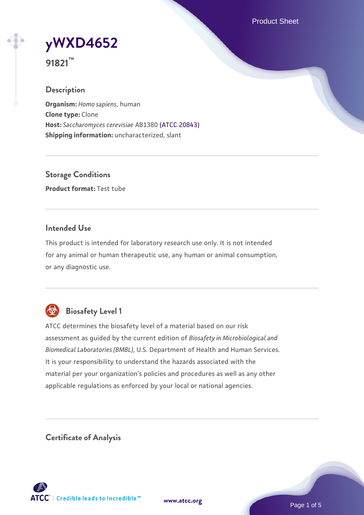Product Sheet

**[yWXD4652](https://www.atcc.org/products/91821)**

**91821™**

## **Description**

**Organism:** *Homo sapiens*, human **Clone type:** Clone **Host:** *Saccharomyces cerevisiae* AB1380 [\(ATCC 20843\)](https://www.atcc.org/products/20843) **Shipping information:** uncharacterized, slant

**Storage Conditions Product format:** Test tube

## **Intended Use**

This product is intended for laboratory research use only. It is not intended for any animal or human therapeutic use, any human or animal consumption, or any diagnostic use.



## **Biosafety Level 1**

ATCC determines the biosafety level of a material based on our risk assessment as guided by the current edition of *Biosafety in Microbiological and Biomedical Laboratories (BMBL)*, U.S. Department of Health and Human Services. It is your responsibility to understand the hazards associated with the material per your organization's policies and procedures as well as any other applicable regulations as enforced by your local or national agencies.

**Certificate of Analysis**

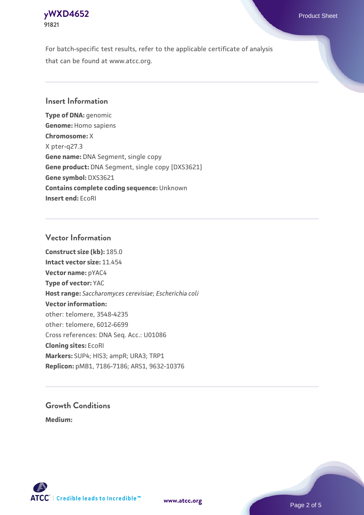## **[yWXD4652](https://www.atcc.org/products/91821)** Product Sheet **91821**

For batch-specific test results, refer to the applicable certificate of analysis that can be found at www.atcc.org.

## **Insert Information**

**Type of DNA:** genomic **Genome:** Homo sapiens **Chromosome:** X X pter-q27.3 **Gene name:** DNA Segment, single copy **Gene product:** DNA Segment, single copy [DXS3621] **Gene symbol:** DXS3621 **Contains complete coding sequence:** Unknown **Insert end:** EcoRI

## **Vector Information**

**Construct size (kb):** 185.0 **Intact vector size:** 11.454 **Vector name:** pYAC4 **Type of vector:** YAC **Host range:** *Saccharomyces cerevisiae*; *Escherichia coli* **Vector information:** other: telomere, 3548-4235 other: telomere, 6012-6699 Cross references: DNA Seq. Acc.: U01086 **Cloning sites:** EcoRI **Markers:** SUP4; HIS3; ampR; URA3; TRP1 **Replicon:** pMB1, 7186-7186; ARS1, 9632-10376

# **Growth Conditions**

**Medium:** 



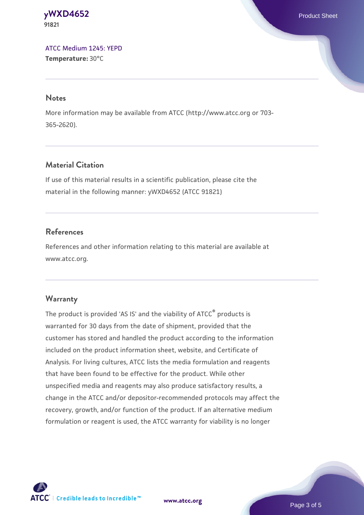#### **[yWXD4652](https://www.atcc.org/products/91821)** Product Sheet **91821**

[ATCC Medium 1245: YEPD](https://www.atcc.org/-/media/product-assets/documents/microbial-media-formulations/1/2/4/5/atcc-medium-1245.pdf?rev=705ca55d1b6f490a808a965d5c072196) **Temperature:** 30°C

#### **Notes**

More information may be available from ATCC (http://www.atcc.org or 703- 365-2620).

## **Material Citation**

If use of this material results in a scientific publication, please cite the material in the following manner: yWXD4652 (ATCC 91821)

## **References**

References and other information relating to this material are available at www.atcc.org.

## **Warranty**

The product is provided 'AS IS' and the viability of ATCC® products is warranted for 30 days from the date of shipment, provided that the customer has stored and handled the product according to the information included on the product information sheet, website, and Certificate of Analysis. For living cultures, ATCC lists the media formulation and reagents that have been found to be effective for the product. While other unspecified media and reagents may also produce satisfactory results, a change in the ATCC and/or depositor-recommended protocols may affect the recovery, growth, and/or function of the product. If an alternative medium formulation or reagent is used, the ATCC warranty for viability is no longer



**[www.atcc.org](http://www.atcc.org)**

Page 3 of 5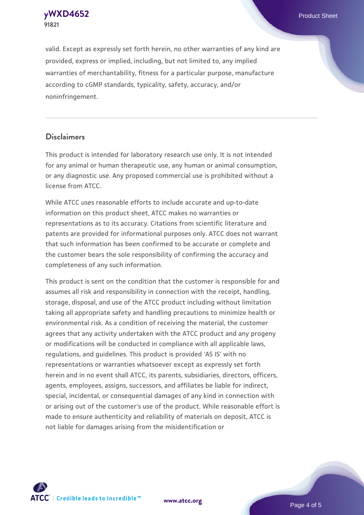**[yWXD4652](https://www.atcc.org/products/91821)** Product Sheet **91821**

valid. Except as expressly set forth herein, no other warranties of any kind are provided, express or implied, including, but not limited to, any implied warranties of merchantability, fitness for a particular purpose, manufacture according to cGMP standards, typicality, safety, accuracy, and/or noninfringement.

#### **Disclaimers**

This product is intended for laboratory research use only. It is not intended for any animal or human therapeutic use, any human or animal consumption, or any diagnostic use. Any proposed commercial use is prohibited without a license from ATCC.

While ATCC uses reasonable efforts to include accurate and up-to-date information on this product sheet, ATCC makes no warranties or representations as to its accuracy. Citations from scientific literature and patents are provided for informational purposes only. ATCC does not warrant that such information has been confirmed to be accurate or complete and the customer bears the sole responsibility of confirming the accuracy and completeness of any such information.

This product is sent on the condition that the customer is responsible for and assumes all risk and responsibility in connection with the receipt, handling, storage, disposal, and use of the ATCC product including without limitation taking all appropriate safety and handling precautions to minimize health or environmental risk. As a condition of receiving the material, the customer agrees that any activity undertaken with the ATCC product and any progeny or modifications will be conducted in compliance with all applicable laws, regulations, and guidelines. This product is provided 'AS IS' with no representations or warranties whatsoever except as expressly set forth herein and in no event shall ATCC, its parents, subsidiaries, directors, officers, agents, employees, assigns, successors, and affiliates be liable for indirect, special, incidental, or consequential damages of any kind in connection with or arising out of the customer's use of the product. While reasonable effort is made to ensure authenticity and reliability of materials on deposit, ATCC is not liable for damages arising from the misidentification or



**[www.atcc.org](http://www.atcc.org)**

Page 4 of 5